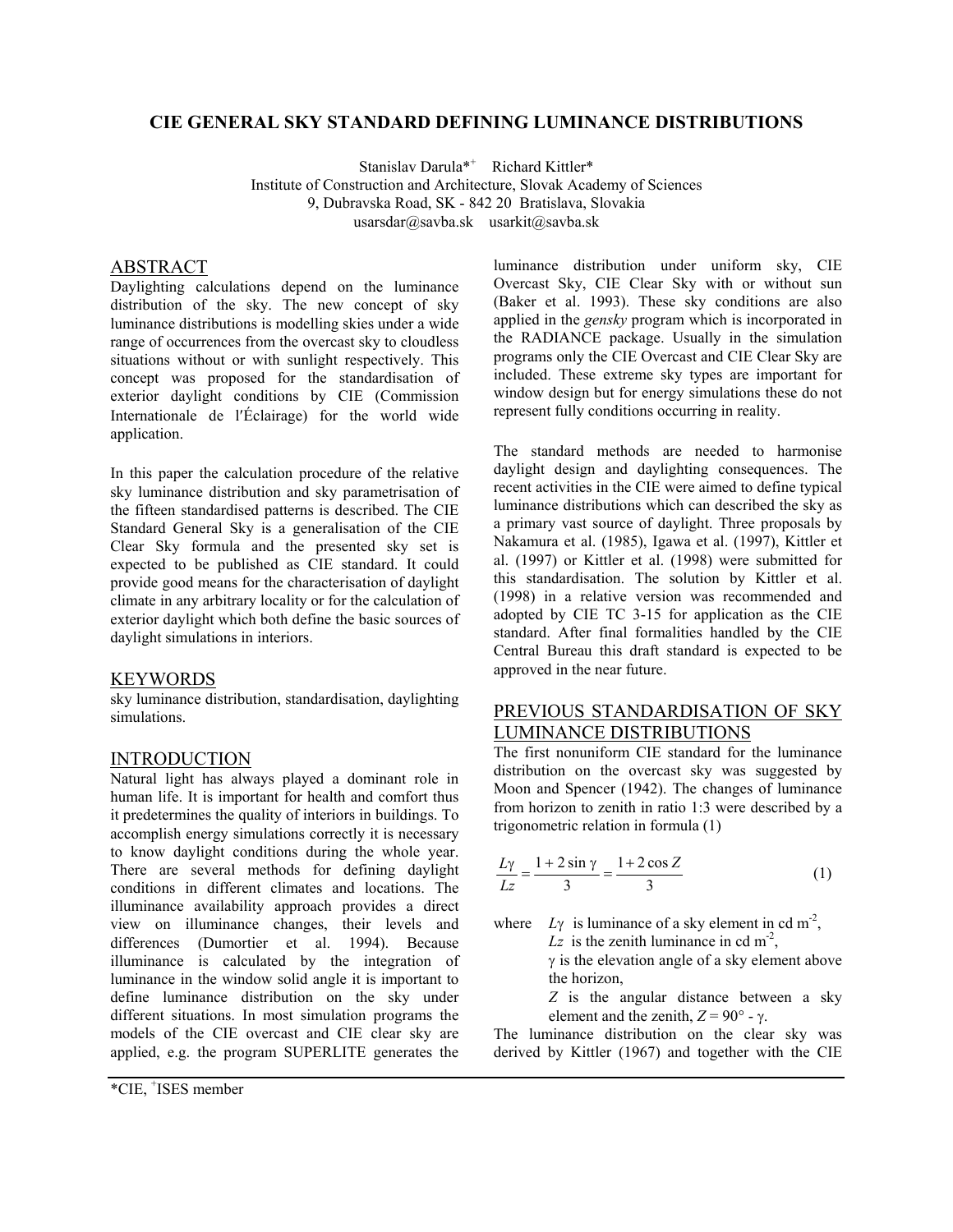### **CIE GENERAL SKY STANDARD DEFINING LUMINANCE DISTRIBUTIONS**

Stanislav Darula<sup>\*+</sup> Richard Kittler\* Institute of Construction and Architecture, Slovak Academy of Sciences 9, Dubravska Road, SK - 842 20 Bratislava, Slovakia usarsdar@savba.sk usarkit@savba.sk

### ABSTRACT

Daylighting calculations depend on the luminance distribution of the sky. The new concept of sky luminance distributions is modelling skies under a wide range of occurrences from the overcast sky to cloudless situations without or with sunlight respectively. This concept was proposed for the standardisation of exterior daylight conditions by CIE (Commission Internationale de l′Éclairage) for the world wide application.

In this paper the calculation procedure of the relative sky luminance distribution and sky parametrisation of the fifteen standardised patterns is described. The CIE Standard General Sky is a generalisation of the CIE Clear Sky formula and the presented sky set is expected to be published as CIE standard. It could provide good means for the characterisation of daylight climate in any arbitrary locality or for the calculation of exterior daylight which both define the basic sources of daylight simulations in interiors.

## **KEYWORDS**

sky luminance distribution, standardisation, daylighting simulations.

## INTRODUCTION

Natural light has always played a dominant role in human life. It is important for health and comfort thus it predetermines the quality of interiors in buildings. To accomplish energy simulations correctly it is necessary to know daylight conditions during the whole year. There are several methods for defining daylight conditions in different climates and locations. The illuminance availability approach provides a direct view on illuminance changes, their levels and differences (Dumortier et al. 1994). Because illuminance is calculated by the integration of luminance in the window solid angle it is important to define luminance distribution on the sky under different situations. In most simulation programs the models of the CIE overcast and CIE clear sky are applied, e.g. the program SUPERLITE generates the

luminance distribution under uniform sky, CIE Overcast Sky, CIE Clear Sky with or without sun (Baker et al. 1993). These sky conditions are also applied in the *gensky* program which is incorporated in the RADIANCE package. Usually in the simulation programs only the CIE Overcast and CIE Clear Sky are included. These extreme sky types are important for window design but for energy simulations these do not represent fully conditions occurring in reality.

The standard methods are needed to harmonise daylight design and daylighting consequences. The recent activities in the CIE were aimed to define typical luminance distributions which can described the sky as a primary vast source of daylight. Three proposals by Nakamura et al. (1985), Igawa et al. (1997), Kittler et al. (1997) or Kittler et al. (1998) were submitted for this standardisation. The solution by Kittler et al. (1998) in a relative version was recommended and adopted by CIE TC 3-15 for application as the CIE standard. After final formalities handled by the CIE Central Bureau this draft standard is expected to be approved in the near future.

## PREVIOUS STANDARDISATION OF SKY LUMINANCE DISTRIBUTIONS

The first nonuniform CIE standard for the luminance distribution on the overcast sky was suggested by Moon and Spencer (1942). The changes of luminance from horizon to zenith in ratio 1:3 were described by a trigonometric relation in formula (1)

$$
\frac{Ly}{Lz} = \frac{1 + 2\sin\gamma}{3} = \frac{1 + 2\cos Z}{3}
$$
 (1)

where  $Ly$  is luminance of a sky element in cd m<sup>-2</sup>, *Lz* is the zenith luminance in cd  $m<sup>2</sup>$ ,

> γ is the elevation angle of a sky element above the horizon,

*Z* is the angular distance between a sky element and the zenith,  $Z = 90^\circ - \gamma$ .

The luminance distribution on the clear sky was derived by Kittler (1967) and together with the CIE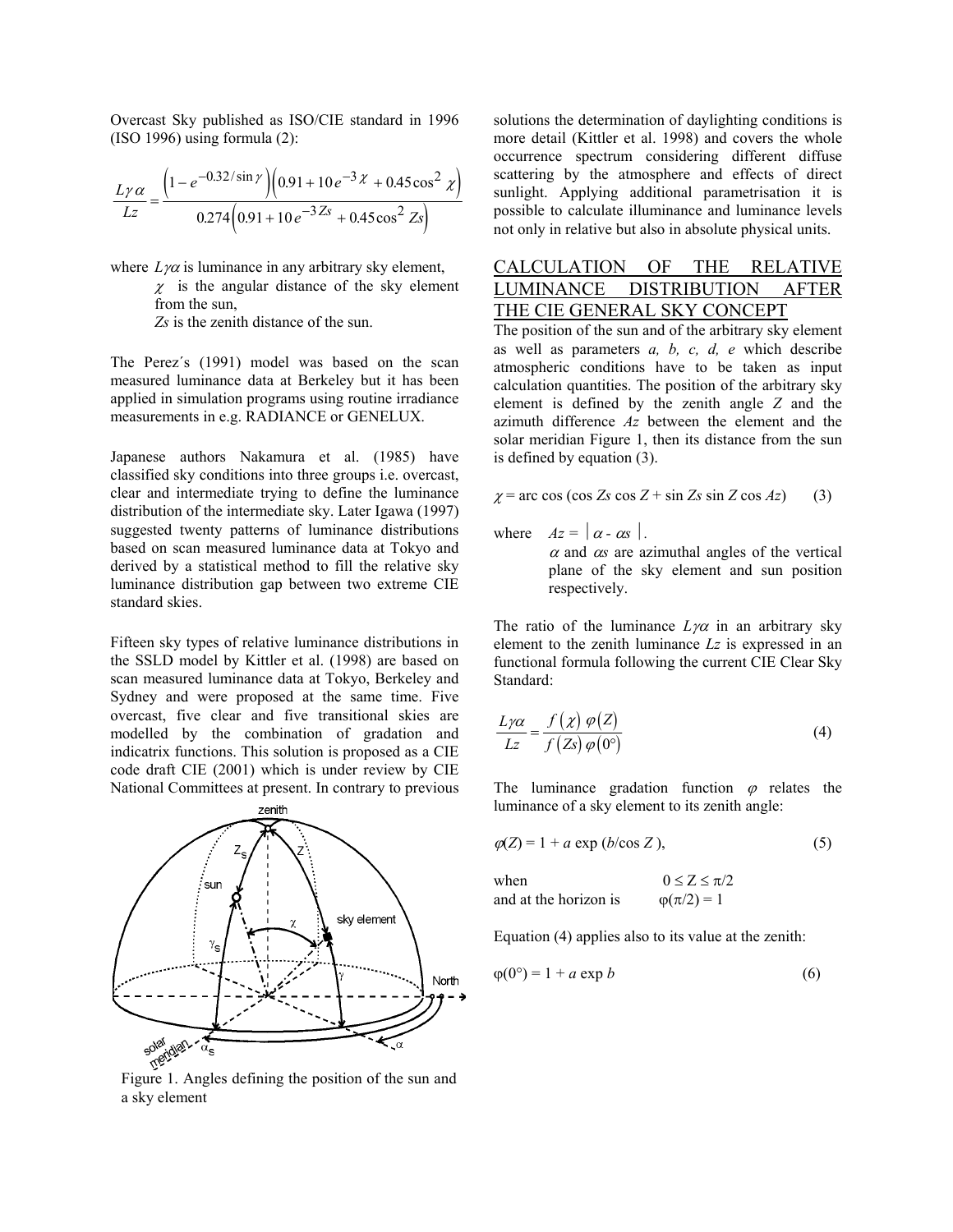Overcast Sky published as ISO/CIE standard in 1996 (ISO 1996) using formula (2):

$$
\frac{L\gamma\alpha}{Lz} = \frac{\left(1 - e^{-0.32/\sin\gamma}\right)\left(0.91 + 10e^{-3\chi} + 0.45\cos^2\chi\right)}{0.274\left(0.91 + 10e^{-3\chi} + 0.45\cos^2\chi\right)}
$$

where  $L\gamma\alpha$  is luminance in any arbitrary sky element,

 $\chi$  is the angular distance of the sky element from the sun,

*Zs* is the zenith distance of the sun.

The Perez´s (1991) model was based on the scan measured luminance data at Berkeley but it has been applied in simulation programs using routine irradiance measurements in e.g. RADIANCE or GENELUX.

Japanese authors Nakamura et al. (1985) have classified sky conditions into three groups i.e. overcast, clear and intermediate trying to define the luminance distribution of the intermediate sky. Later Igawa (1997) suggested twenty patterns of luminance distributions based on scan measured luminance data at Tokyo and derived by a statistical method to fill the relative sky luminance distribution gap between two extreme CIE standard skies.

Fifteen sky types of relative luminance distributions in the SSLD model by Kittler et al. (1998) are based on scan measured luminance data at Tokyo, Berkeley and Sydney and were proposed at the same time. Five overcast, five clear and five transitional skies are modelled by the combination of gradation and indicatrix functions. This solution is proposed as a CIE code draft CIE (2001) which is under review by CIE National Committees at present. In contrary to previous



a sky element

solutions the determination of daylighting conditions is more detail (Kittler et al. 1998) and covers the whole occurrence spectrum considering different diffuse scattering by the atmosphere and effects of direct sunlight. Applying additional parametrisation it is possible to calculate illuminance and luminance levels not only in relative but also in absolute physical units.

# CALCULATION OF THE RELATIVE LUMINANCE DISTRIBUTION AFTER THE CIE GENERAL SKY CONCEPT

The position of the sun and of the arbitrary sky element as well as parameters *a, b, c, d, e* which describe atmospheric conditions have to be taken as input calculation quantities. The position of the arbitrary sky element is defined by the zenith angle *Z* and the azimuth difference *Az* between the element and the solar meridian Figure 1, then its distance from the sun is defined by equation (3).

$$
\chi = \arccos(\cos Zs \cos Z + \sin Zs \sin Z \cos Az) \tag{3}
$$

where  $Az = |\alpha - \alpha s|$ .

 $\alpha$  and  $\alpha$  are azimuthal angles of the vertical plane of the sky element and sun position respectively.

The ratio of the luminance  $L\gamma\alpha$  in an arbitrary sky element to the zenith luminance *Lz* is expressed in an functional formula following the current CIE Clear Sky Standard:

$$
\frac{L\gamma\alpha}{Lz} = \frac{f(\chi)\varphi(Z)}{f(Zs)\varphi(0^{\circ})}
$$
(4)

The luminance gradation function  $\varphi$  relates the luminance of a sky element to its zenith angle:

$$
\varphi(Z) = 1 + a \exp(b/\cos Z),\tag{5}
$$

when  $0 \le Z \le \pi/2$ and at the horizon is  $\varphi(\pi/2) = 1$ 

Equation (4) applies also to its value at the zenith:

$$
\varphi(0^{\circ}) = 1 + a \exp b \tag{6}
$$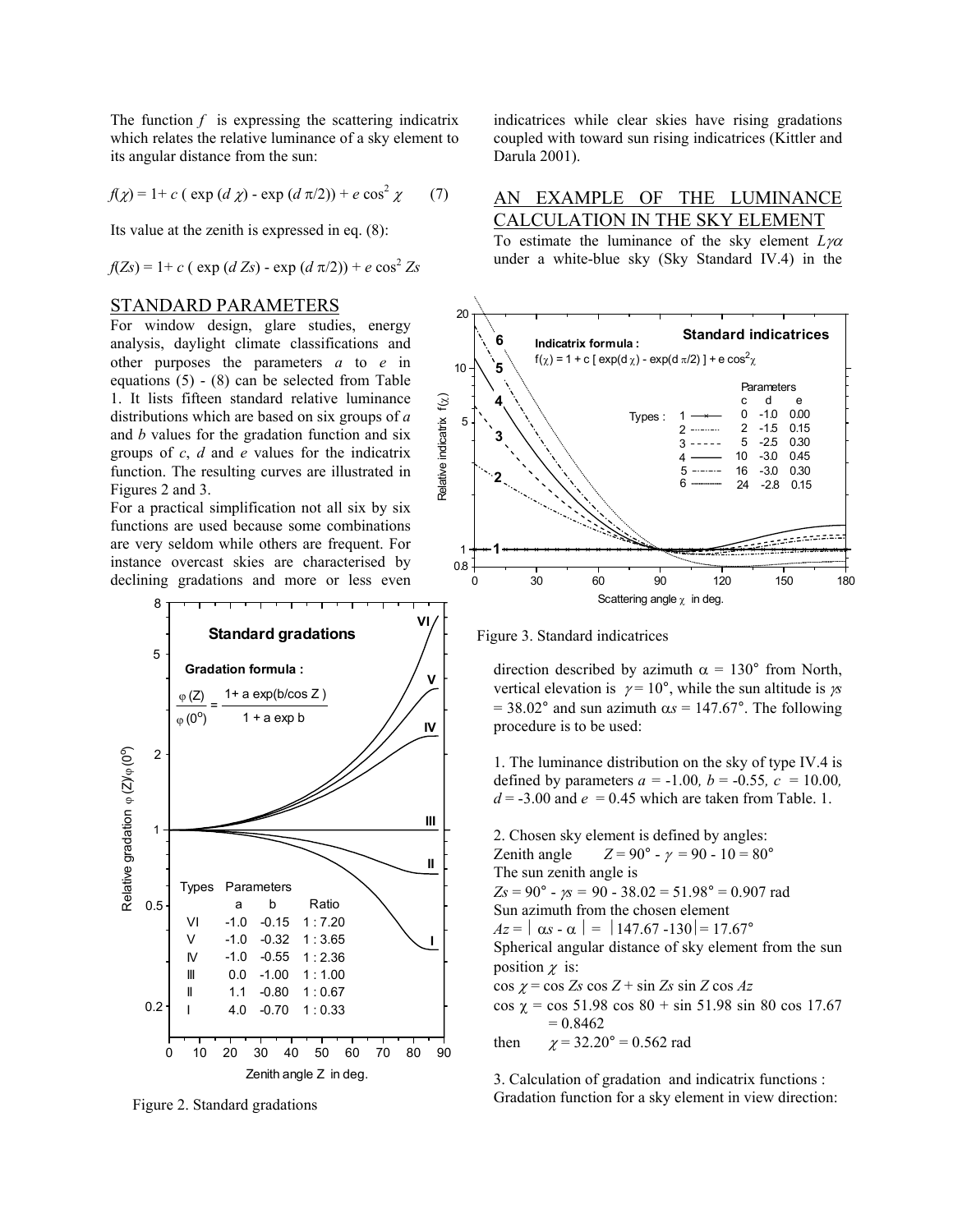The function  $f$  is expressing the scattering indicatrix which relates the relative luminance of a sky element to its angular distance from the sun:

$$
f(\chi) = 1 + c \left( \exp\left(d \chi\right) - \exp\left(d \pi/2\right) \right) + e \cos^2 \chi \qquad (7)
$$

Its value at the zenith is expressed in eq. (8):

$$
f(Zs) = 1 + c
$$
 ( exp (*d Zs*) - exp (*d*  $\pi/2$ )) + *e* cos<sup>2</sup>  $Zs$ 

#### STANDARD PARAMETERS

For window design, glare studies, energy analysis, daylight climate classifications and other purposes the parameters *a* to *e* in equations  $(5) - (8)$  can be selected from Table 1. It lists fifteen standard relative luminance distributions which are based on six groups of *a*  and *b* values for the gradation function and six groups of *c*, *d* and *e* values for the indicatrix function. The resulting curves are illustrated in Figures 2 and 3.

For a practical simplification not all six by six functions are used because some combinations are very seldom while others are frequent. For instance overcast skies are characterised by declining gradations and more or less even



Figure 2. Standard gradations

indicatrices while clear skies have rising gradations coupled with toward sun rising indicatrices (Kittler and Darula 2001).

### AN EXAMPLE OF THE LUMINANCE CALCULATION IN THE SKY ELEMENT

To estimate the luminance of the sky element *L*γα under a white-blue sky (Sky Standard IV.4) in the



Figure 3. Standard indicatrices

direction described by azimuth  $\alpha = 130^{\circ}$  from North, vertical elevation is  $\gamma = 10^{\circ}$ , while the sun altitude is  $\gamma s$  $= 38.02^{\circ}$  and sun azimuth  $\alpha s = 147.67^{\circ}$ . The following procedure is to be used:

1. The luminance distribution on the sky of type IV.4 is defined by parameters  $a = -1.00$ ,  $b = -0.55$ ,  $c = 10.00$ ,  $d = -3.00$  and  $e = 0.45$  which are taken from Table. 1.

2. Chosen sky element is defined by angles: Zenith angle  $Z = 90^{\circ} - \gamma = 90 - 10 = 80^{\circ}$ The sun zenith angle is *Zs* = 90° - γ*s =* 90 - 38.02 = 51.98° = 0.907 rad Sun azimuth from the chosen element  $Az = |\alpha s - \alpha| = |147.67 - 130| = 17.67^{\circ}$ Spherical angular distance of sky element from the sun position  $\chi$  is:  $\cos \chi = \cos Zs \cos Z + \sin Zs \sin Z \cos Az$ cos χ = cos 51.98 cos 80 + sin 51.98 sin 80 cos 17.67  $= 0.8462$ then  $\chi = 32.20^{\circ} = 0.562$  rad

3. Calculation of gradation and indicatrix functions : Gradation function for a sky element in view direction: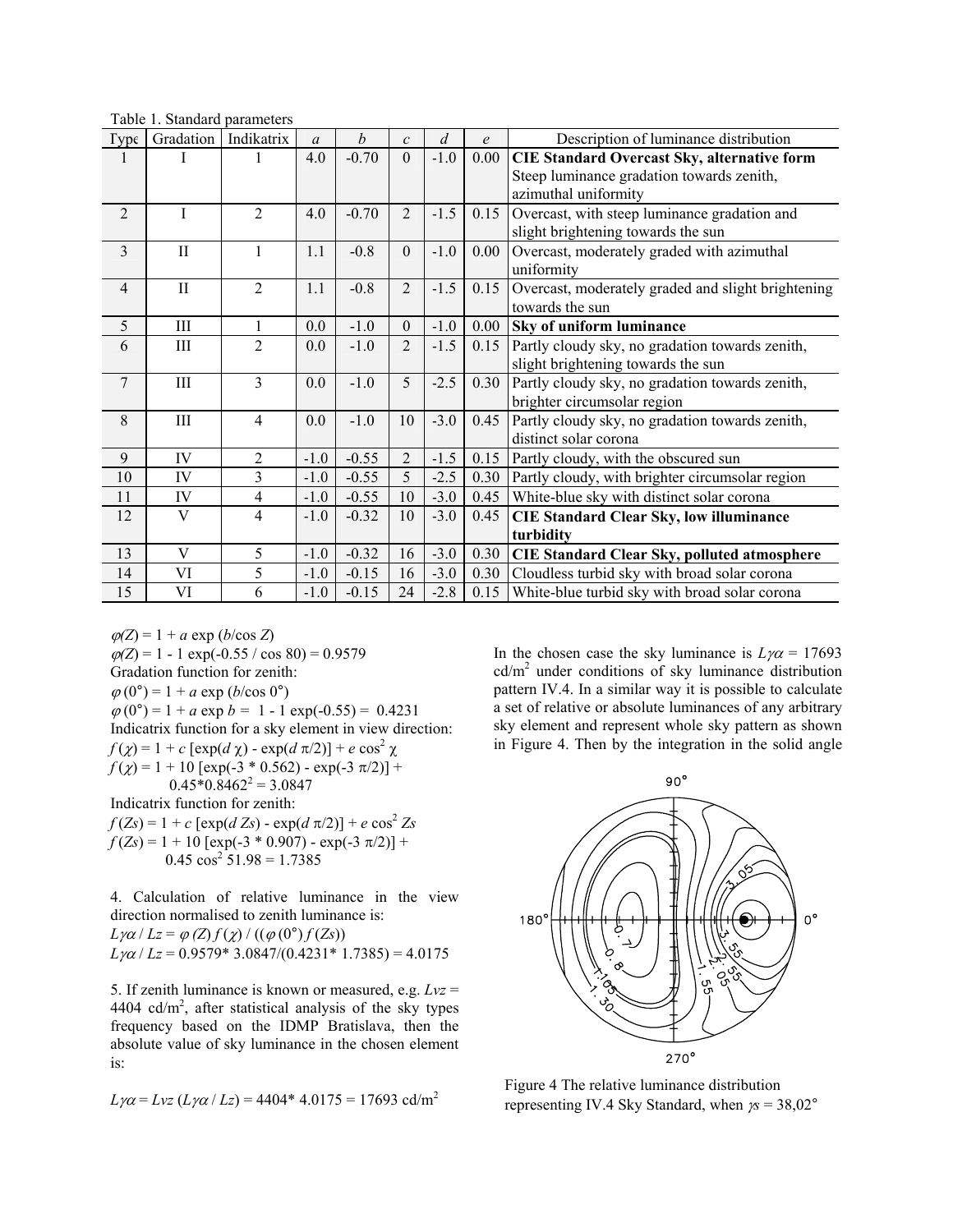| Table 1. Standard parameters |  |
|------------------------------|--|
|------------------------------|--|

| Type           | Gradation    | Indikatrix     | $\mathfrak{a}$ | b       | $\mathcal{C}$  | $\overline{d}$ | e    | Description of luminance distribution              |
|----------------|--------------|----------------|----------------|---------|----------------|----------------|------|----------------------------------------------------|
|                | I            |                | 4.0            | $-0.70$ | $\Omega$       | $-1.0$         | 0.00 | <b>CIE Standard Overcast Sky, alternative form</b> |
|                |              |                |                |         |                |                |      | Steep luminance gradation towards zenith,          |
|                |              |                |                |         |                |                |      | azimuthal uniformity                               |
| $\overline{2}$ | L            | $\overline{2}$ | 4.0            | $-0.70$ | $\overline{2}$ | $-1.5$         | 0.15 | Overcast, with steep luminance gradation and       |
|                |              |                |                |         |                |                |      | slight brightening towards the sun                 |
| $\overline{3}$ | $\mathbf{I}$ |                | 1.1            | $-0.8$  | $\Omega$       | $-1.0$         | 0.00 | Overcast, moderately graded with azimuthal         |
|                |              |                |                |         |                |                |      | uniformity                                         |
| $\overline{4}$ | $\mathbf{I}$ | $\overline{2}$ | 1.1            | $-0.8$  | $\overline{2}$ | $-1.5$         | 0.15 | Overcast, moderately graded and slight brightening |
|                |              |                |                |         |                |                |      | towards the sun                                    |
| 5              | Ш            | 1              | 0.0            | $-1.0$  | $\Omega$       | $-1.0$         | 0.00 | Sky of uniform luminance                           |
| 6              | III          | $\overline{2}$ | 0.0            | $-1.0$  | $\overline{2}$ | $-1.5$         | 0.15 | Partly cloudy sky, no gradation towards zenith,    |
|                |              |                |                |         |                |                |      | slight brightening towards the sun                 |
| $\overline{7}$ | Ш            | $\overline{3}$ | 0.0            | $-1.0$  | 5              | $-2.5$         | 0.30 | Partly cloudy sky, no gradation towards zenith,    |
|                |              |                |                |         |                |                |      | brighter circumsolar region                        |
| 8              | $\rm III$    | $\overline{4}$ | 0.0            | $-1.0$  | 10             | $-3.0$         | 0.45 | Partly cloudy sky, no gradation towards zenith,    |
|                |              |                |                |         |                |                |      | distinct solar corona                              |
| 9              | IV           | $\overline{2}$ | $-1.0$         | $-0.55$ | $\overline{2}$ | $-1.5$         | 0.15 | Partly cloudy, with the obscured sun               |
| 10             | IV           | 3              | $-1.0$         | $-0.55$ | 5              | $-2.5$         | 0.30 | Partly cloudy, with brighter circumsolar region    |
| 11             | IV           | $\overline{4}$ | $-1.0$         | $-0.55$ | 10             | $-3.0$         | 0.45 | White-blue sky with distinct solar corona          |
| 12             | V            | 4              | $-1.0$         | $-0.32$ | 10             | $-3.0$         | 0.45 | <b>CIE Standard Clear Sky, low illuminance</b>     |
|                |              |                |                |         |                |                |      | turbidity                                          |
| 13             | V            | 5              | $-1.0$         | $-0.32$ | 16             | $-3.0$         | 0.30 | <b>CIE Standard Clear Sky, polluted atmosphere</b> |
| 14             | VI           | 5              | $-1.0$         | $-0.15$ | 16             | $-3.0$         | 0.30 | Cloudless turbid sky with broad solar corona       |
| 15             | VI           | 6              | $-1.0$         | $-0.15$ | 24             | $-2.8$         | 0.15 | White-blue turbid sky with broad solar corona      |

 $\varphi(Z) = 1 + a \exp(b/\cos Z)$  $\varphi(Z) = 1 - 1 \exp(-0.55 / \cos 80) = 0.9579$ Gradation function for zenith:  $\varphi(0^{\circ}) = 1 + a \exp(b/\cos 0^{\circ})$  $\varphi(0^{\circ}) = 1 + a \exp b = 1 - 1 \exp(-0.55) = 0.4231$ Indicatrix function for a sky element in view direction: *f*(*χ*) = 1 + *c* [exp(*d χ*) - exp(*d*  $\pi$ /2)] + *e* cos<sup>2</sup> *χ*  $f(\chi) = 1 + 10$  [exp(-3 \* 0.562) - exp(-3  $\pi$ /2)] +  $0.45*0.8462^2 = 3.0847$ Indicatrix function for zenith:  $f(Zs) = 1 + c \left[ exp(d Zs) - exp(d \pi/2) \right] + e cos^2 Zs$ 

 $f(Zs) = 1 + 10 \left[ \exp(-3 * 0.907) - \exp(-3 \pi/2) \right] +$  $0.45 \cos^2 51.98 = 1.7385$ 

4. Calculation of relative luminance in the view direction normalised to zenith luminance is: *L*γ $\alpha$  / *Lz* =  $\varphi$  *(Z)*  $f(\chi)$  / (( $\varphi$  (0°)  $f(Zs)$ )

 $L\gamma\alpha$  /  $Lz$  = 0.9579\* 3.0847/(0.4231\* 1.7385) = 4.0175

5. If zenith luminance is known or measured, e.g. *Lvz* = 4404  $cd/m<sup>2</sup>$ , after statistical analysis of the sky types frequency based on the IDMP Bratislava, then the absolute value of sky luminance in the chosen element is:

$$
L\gamma\alpha = Lvz (L\gamma\alpha / Lz) = 4404*4.0175 = 17693 \text{ cd/m}^2
$$

In the chosen case the sky luminance is  $L\gamma\alpha = 17693$  $cd/m<sup>2</sup>$  under conditions of sky luminance distribution pattern IV.4. In a similar way it is possible to calculate a set of relative or absolute luminances of any arbitrary sky element and represent whole sky pattern as shown in Figure 4. Then by the integration in the solid angle



Figure 4 The relative luminance distribution representing IV.4 Sky Standard, when γ*s* = 38,02°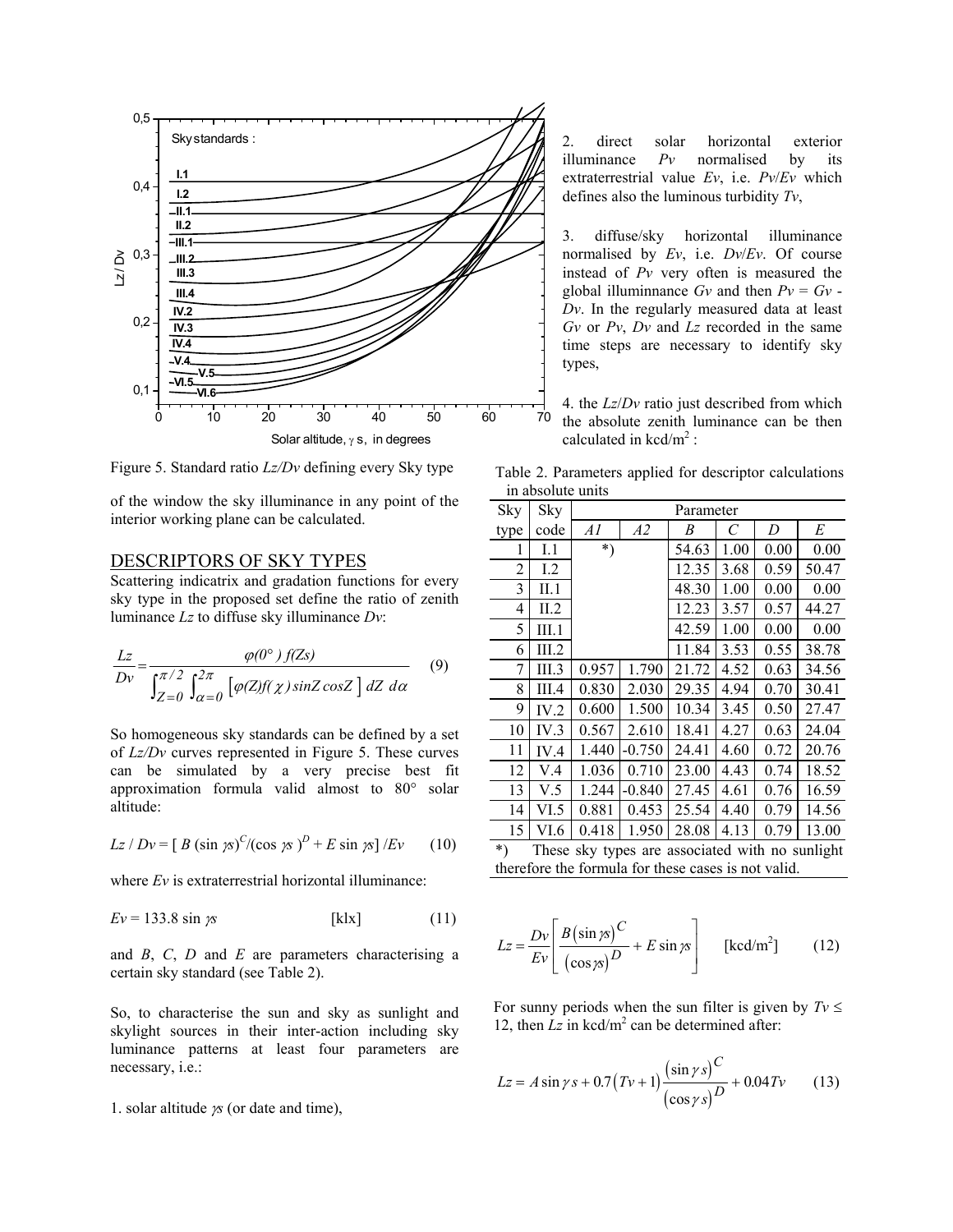

Figure 5. Standard ratio *Lz/Dv* defining every Sky type Table 2. Parameters applied for descriptor calculations

of the window the sky illuminance in any point of the interior working plane can be calculated.

#### DESCRIPTORS OF SKY TYPES

Scattering indicatrix and gradation functions for every sky type in the proposed set define the ratio of zenith luminance *Lz* to diffuse sky illuminance *Dv*:

$$
\frac{Lz}{Dv} = \frac{\varphi(0^{\circ})f(Zs)}{\int_{Z=0}^{\pi/2} \int_{\alpha=0}^{2\pi} \left[\varphi(Z)f(\chi)\sin Z \cos Z\right] dZ d\alpha}
$$
(9)

So homogeneous sky standards can be defined by a set of *Lz/Dv* curves represented in Figure 5. These curves can be simulated by a very precise best fit approximation formula valid almost to 80° solar altitude:

$$
Lz/Dv = [B (\sin \gamma s)^{C}/(\cos \gamma s)^{D} + E \sin \gamma s]/Ev
$$
 (10)

where *Ev* is extraterrestrial horizontal illuminance:

$$
Ev = 133.8 \sin \gamma s \qquad [\text{klx}] \qquad (11)
$$

and  $B$ ,  $C$ ,  $D$  and  $E$  are parameters characterising a certain sky standard (see Table 2).

So, to characterise the sun and sky as sunlight and skylight sources in their inter-action including sky luminance patterns at least four parameters are necessary, i.e.:

1. solar altitude <sup>γ</sup>*s* (or date and time),

2. direct solar horizontal exterior illuminance *Pv* normalised by its extraterrestrial value *Ev*, i.e. *Pv*/*Ev* which defines also the luminous turbidity *Tv*,

3. diffuse/sky horizontal illuminance normalised by *Ev*, i.e. *Dv*/*Ev*. Of course instead of *Pv* very often is measured the global illuminnance  $Gv$  and then  $Pv = Gv$  -*Dv*. In the regularly measured data at least *Gv* or *Pv*, *Dv* and *Lz* recorded in the same time steps are necessary to identify sky types,

4. the *Lz*/*Dv* ratio just described from which absolute zenith luminance can be then calculated in  $kcd/m^2$ :

in absolute units

| Sky                                                        | Sky   | Parameter |          |       |      |      |       |  |
|------------------------------------------------------------|-------|-----------|----------|-------|------|------|-------|--|
| type                                                       | code  | Al        | A2       | B     | C    | D    | E     |  |
| 1                                                          | I.1   | $^*)$     |          | 54.63 | 1.00 | 0.00 | 0.00  |  |
| 2                                                          | 1.2   |           |          | 12.35 | 3.68 | 0.59 | 50.47 |  |
| 3                                                          | II.1  |           |          | 48.30 | 1.00 | 0.00 | 0.00  |  |
| 4                                                          | II.2  |           |          | 12.23 | 3.57 | 0.57 | 44.27 |  |
| 5                                                          | III.1 |           |          | 42.59 | 1.00 | 0.00 | 0.00  |  |
| 6                                                          | III.2 |           |          | 11.84 | 3.53 | 0.55 | 38.78 |  |
| 7                                                          | III.3 | 0.957     | 1.790    | 21.72 | 4.52 | 0.63 | 34.56 |  |
| 8                                                          | III.4 | 0.830     | 2.030    | 29.35 | 4.94 | 0.70 | 30.41 |  |
| 9                                                          | IV.2  | 0.600     | 1.500    | 10.34 | 3.45 | 0.50 | 27.47 |  |
| 10                                                         | IV.3  | 0.567     | 2.610    | 18.41 | 4.27 | 0.63 | 24.04 |  |
| 11                                                         | IV.4  | 1.440     | $-0.750$ | 24.41 | 4.60 | 0.72 | 20.76 |  |
| 12                                                         | V.4   | 1.036     | 0.710    | 23.00 | 4.43 | 0.74 | 18.52 |  |
| 13                                                         | V.5   | 1.244     | $-0.840$ | 27.45 | 4.61 | 0.76 | 16.59 |  |
| 14                                                         | VI.5  | 0.881     | 0.453    | 25.54 | 4.40 | 0.79 | 14.56 |  |
| 15                                                         | VI.6  | 0.418     | 1.950    | 28.08 | 4.13 | 0.79 | 13.00 |  |
| $\star$<br>These dry types are essessized with no synticht |       |           |          |       |      |      |       |  |

| $\ast$ |  |  | These sky types are associated with no sunlight     |  |  |
|--------|--|--|-----------------------------------------------------|--|--|
|        |  |  | therefore the formula for these cases is not valid. |  |  |

$$
Lz = \frac{Dv}{Ev} \left[ \frac{B(\sin \pi)^C}{(\cos \pi)^D} + E \sin \pi \right] \qquad \text{[ked/m}^2\text{]} \tag{12}
$$

For sunny periods when the sun filter is given by  $Tv \leq$ 12, then  $Lz$  in kcd/m<sup>2</sup> can be determined after:

$$
Lz = A\sin\gamma s + 0.7(Tv+1)\frac{\left(\sin\gamma s\right)^C}{\left(\cos\gamma s\right)^D} + 0.04Tv\tag{13}
$$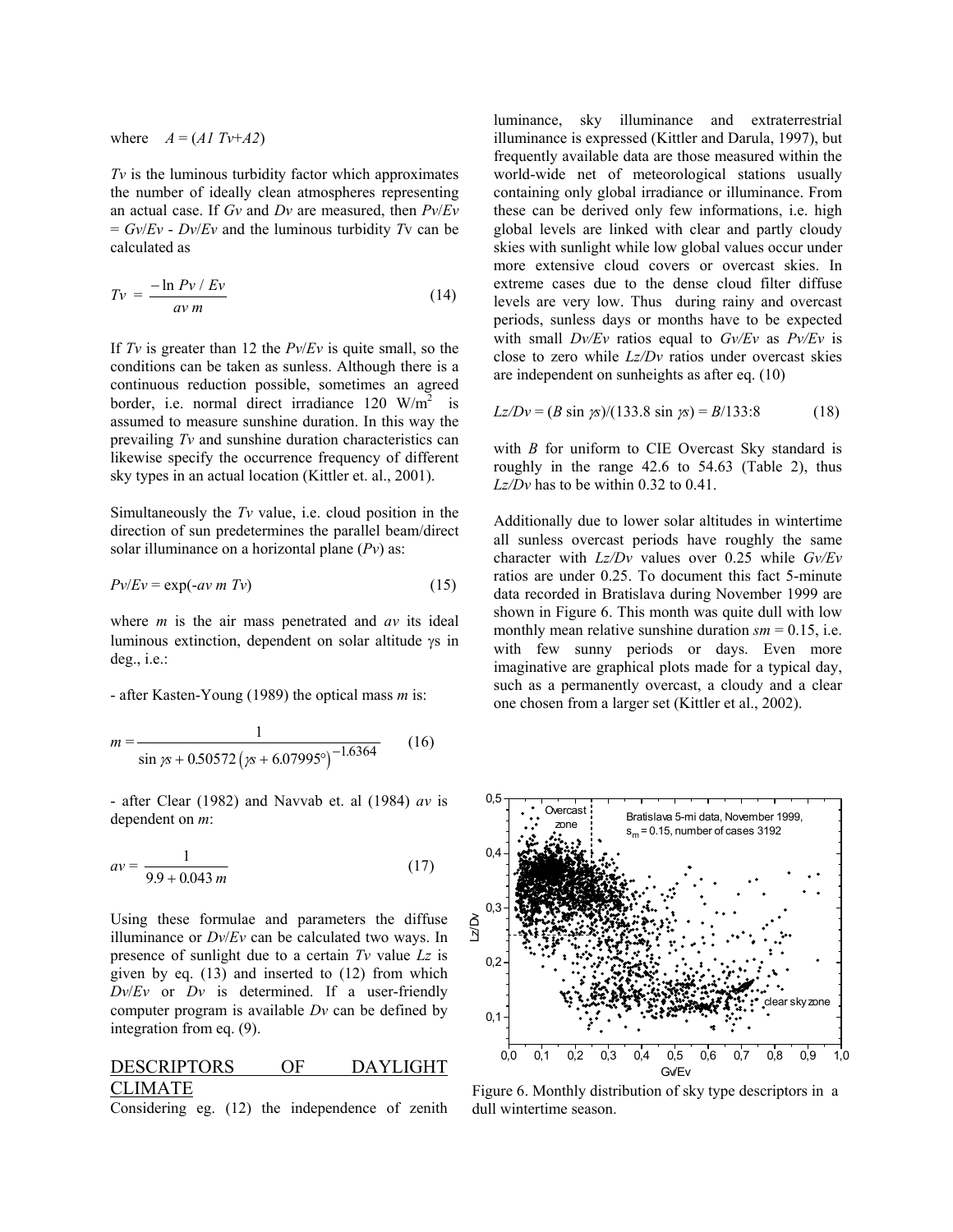where  $A = (A1 \text{ Tv}+A2)$ 

*Tv* is the luminous turbidity factor which approximates the number of ideally clean atmospheres representing an actual case. If *Gv* and *Dv* are measured, then *Pv*/*Ev*  $= Gv/Ev - Dv/Ev$  and the luminous turbidity *Tv* can be calculated as

$$
Tv = \frac{-\ln Pv / Ev}{av m}
$$
 (14)

If *Tv* is greater than 12 the *Pv*/*Ev* is quite small, so the conditions can be taken as sunless. Although there is a continuous reduction possible, sometimes an agreed border, i.e. normal direct irradiance  $120 \text{ W/m}^2$  is assumed to measure sunshine duration. In this way the prevailing *Tv* and sunshine duration characteristics can likewise specify the occurrence frequency of different sky types in an actual location (Kittler et. al., 2001).

Simultaneously the *Tv* value, i.e. cloud position in the direction of sun predetermines the parallel beam/direct solar illuminance on a horizontal plane (*Pv*) as:

$$
Pv/Ev = \exp(-av \ m \ Tv)
$$
 (15)

where *m* is the air mass penetrated and *av* its ideal luminous extinction, dependent on solar altitude γs in deg., i.e.:

- after Kasten-Young (1989) the optical mass *m* is:

$$
m = \frac{1}{\sin 75 + 0.50572 \left(75 + 6.07995^\circ\right)^{-1.6364}}\tag{16}
$$

- after Clear (1982) and Navvab et. al (1984) *av* is dependent on *m*:

$$
av = \frac{1}{9.9 + 0.043 m}
$$
 (17)

Using these formulae and parameters the diffuse illuminance or *Dv*/*Ev* can be calculated two ways. In presence of sunlight due to a certain *Tv* value *Lz* is given by eq. (13) and inserted to (12) from which *Dv*/*Ev* or *Dv* is determined. If a user-friendly computer program is available *Dv* can be defined by integration from eq. (9).

## DESCRIPTORS OF DAYLIGHT CLIMATE

Considering eg. (12) the independence of zenith

luminance, sky illuminance and extraterrestrial illuminance is expressed (Kittler and Darula, 1997), but frequently available data are those measured within the world-wide net of meteorological stations usually containing only global irradiance or illuminance. From these can be derived only few informations, i.e. high global levels are linked with clear and partly cloudy skies with sunlight while low global values occur under more extensive cloud covers or overcast skies. In extreme cases due to the dense cloud filter diffuse levels are very low. Thus during rainy and overcast periods, sunless days or months have to be expected with small *Dv/Ev* ratios equal to *Gv/Ev* as *Pv/Ev* is close to zero while *Lz/Dv* ratios under overcast skies are independent on sunheights as after eq. (10)

$$
Lz/Dv = (B \sin \gamma s)/(133.8 \sin \gamma s) = B/133.8 \tag{18}
$$

with *B* for uniform to CIE Overcast Sky standard is roughly in the range 42.6 to 54.63 (Table 2), thus *Lz/Dv* has to be within 0.32 to 0.41.

Additionally due to lower solar altitudes in wintertime all sunless overcast periods have roughly the same character with *Lz/Dv* values over 0.25 while *Gv/Ev* ratios are under 0.25. To document this fact 5-minute data recorded in Bratislava during November 1999 are shown in Figure 6. This month was quite dull with low monthly mean relative sunshine duration  $\textit{sm} = 0.15$ , i.e. with few sunny periods or days. Even more imaginative are graphical plots made for a typical day, such as a permanently overcast, a cloudy and a clear one chosen from a larger set (Kittler et al., 2002).



Figure 6. Monthly distribution of sky type descriptors in a dull wintertime season.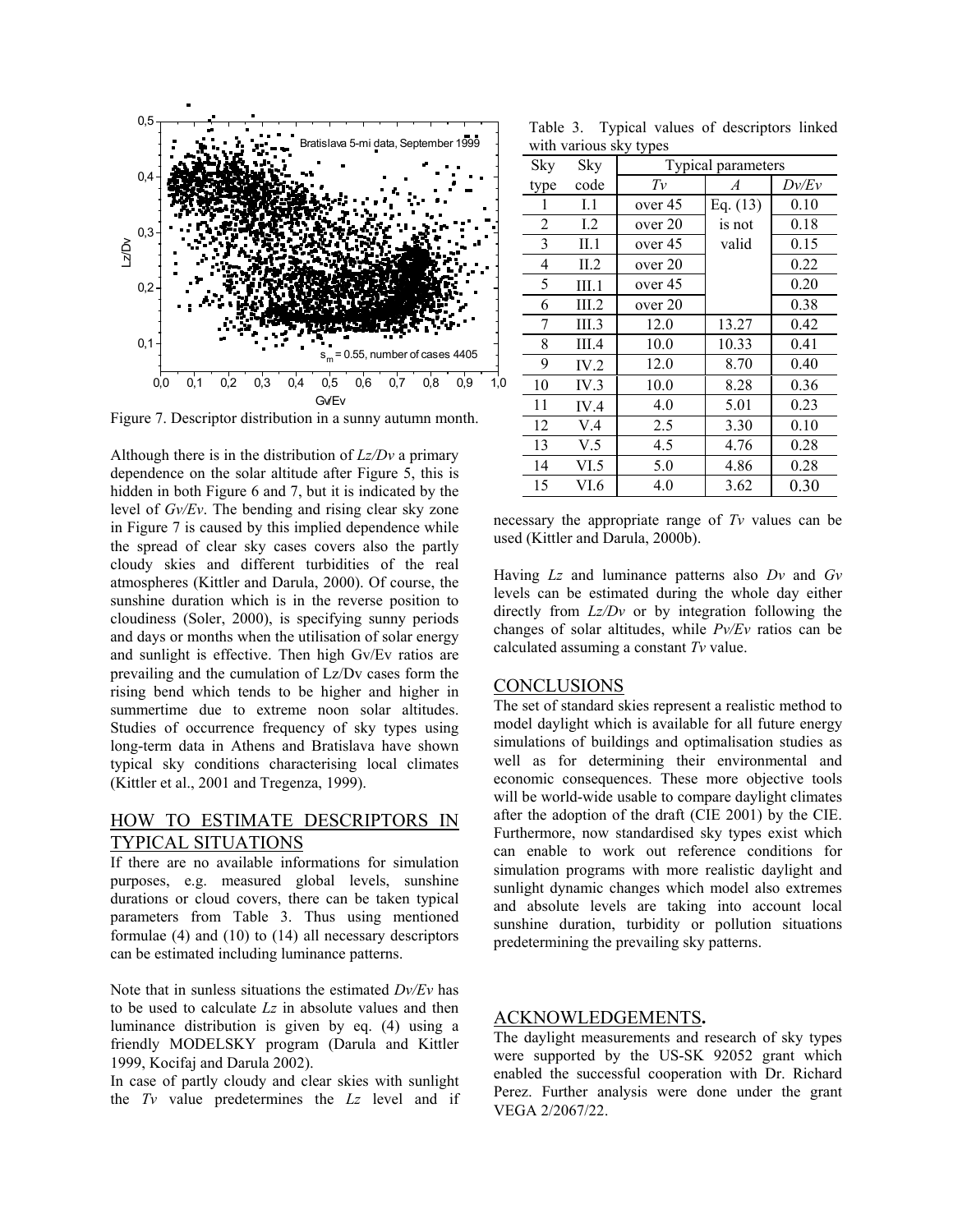

Figure 7. Descriptor distribution in a sunny autumn month.

Although there is in the distribution of *Lz/Dv* a primary dependence on the solar altitude after Figure 5, this is hidden in both Figure 6 and 7, but it is indicated by the level of *Gv/Ev*. The bending and rising clear sky zone in Figure 7 is caused by this implied dependence while the spread of clear sky cases covers also the partly cloudy skies and different turbidities of the real atmospheres (Kittler and Darula, 2000). Of course, the sunshine duration which is in the reverse position to cloudiness (Soler, 2000), is specifying sunny periods and days or months when the utilisation of solar energy and sunlight is effective. Then high Gv/Ev ratios are prevailing and the cumulation of Lz/Dv cases form the rising bend which tends to be higher and higher in summertime due to extreme noon solar altitudes. Studies of occurrence frequency of sky types using long-term data in Athens and Bratislava have shown typical sky conditions characterising local climates (Kittler et al., 2001 and Tregenza, 1999).

# HOW TO ESTIMATE DESCRIPTORS IN TYPICAL SITUATIONS

If there are no available informations for simulation purposes, e.g. measured global levels, sunshine durations or cloud covers, there can be taken typical parameters from Table 3. Thus using mentioned formulae (4) and (10) to (14) all necessary descriptors can be estimated including luminance patterns.

Note that in sunless situations the estimated *Dv/Ev* has to be used to calculate *Lz* in absolute values and then luminance distribution is given by eq. (4) using a friendly MODELSKY program (Darula and Kittler 1999, Kocifaj and Darula 2002).

In case of partly cloudy and clear skies with sunlight the *Tv* value predetermines the *Lz* level and if

Table 3. Typical values of descriptors linked with various sky types

|                |       | J J F T            |                  |       |  |  |  |  |
|----------------|-------|--------------------|------------------|-------|--|--|--|--|
| Sky            | Sky   | Typical parameters |                  |       |  |  |  |  |
| type           | code  | Tν                 | $\boldsymbol{A}$ | Dv/Ev |  |  |  |  |
|                | I.1   | over 45            | Eq. $(13)$       | 0.10  |  |  |  |  |
| $\overline{2}$ | 1.2   | over 20            | is not           | 0.18  |  |  |  |  |
| 3              | II.1  | over 45            | valid            | 0.15  |  |  |  |  |
| 4              | II.2  | over 20            |                  | 0.22  |  |  |  |  |
| 5              | III.1 | over 45            |                  | 0.20  |  |  |  |  |
| 6              | III.2 | over 20            |                  | 0.38  |  |  |  |  |
| 7              | III.3 | 12.0               | 13.27            | 0.42  |  |  |  |  |
| 8              | III.4 | 10.0               | 10.33            | 0.41  |  |  |  |  |
| 9              | IV.2  | 12.0               | 8.70             | 0.40  |  |  |  |  |
| 10             | IV.3  | 10.0               | 8.28             | 0.36  |  |  |  |  |
| 11             | IV.4  | 4.0                | 5.01             | 0.23  |  |  |  |  |
| 12             | V.4   | 2.5                | 3.30             | 0.10  |  |  |  |  |
| 13             | V.5   | 4.5                | 4.76             | 0.28  |  |  |  |  |
| 14             | VI.5  | 5.0                | 4.86             | 0.28  |  |  |  |  |
| 15             | VI.6  | 4.0                | 3.62             | 0.30  |  |  |  |  |
|                |       |                    |                  |       |  |  |  |  |

necessary the appropriate range of *Tv* values can be used (Kittler and Darula, 2000b).

Having *Lz* and luminance patterns also *Dv* and *Gv* levels can be estimated during the whole day either directly from *Lz/Dv* or by integration following the changes of solar altitudes, while *Pv/Ev* ratios can be calculated assuming a constant *Tv* value.

#### CONCLUSIONS

The set of standard skies represent a realistic method to model daylight which is available for all future energy simulations of buildings and optimalisation studies as well as for determining their environmental and economic consequences. These more objective tools will be world-wide usable to compare daylight climates after the adoption of the draft (CIE 2001) by the CIE. Furthermore, now standardised sky types exist which can enable to work out reference conditions for simulation programs with more realistic daylight and sunlight dynamic changes which model also extremes and absolute levels are taking into account local sunshine duration, turbidity or pollution situations predetermining the prevailing sky patterns.

#### ACKNOWLEDGEMENTS**.**

The daylight measurements and research of sky types were supported by the US-SK 92052 grant which enabled the successful cooperation with Dr. Richard Perez. Further analysis were done under the grant VEGA 2/2067/22.